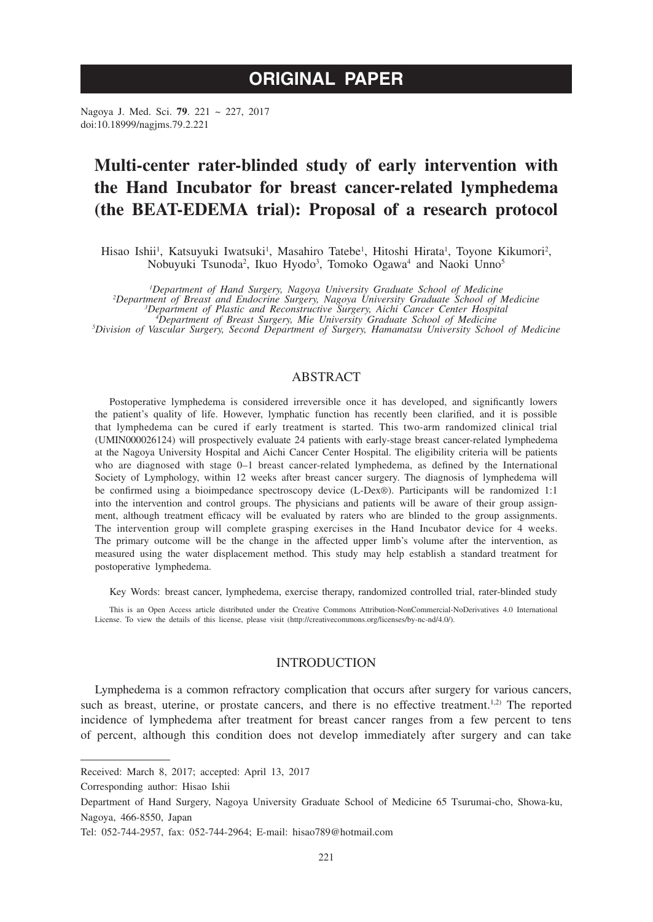# **ORIGINAL PAPER**

Nagoya J. Med. Sci. **79**. 221 ~ 227, 2017 doi:10.18999/nagjms.79.2.221

# **Multi-center rater-blinded study of early intervention with the Hand Incubator for breast cancer-related lymphedema (the BEAT-EDEMA trial): Proposal of a research protocol**

Hisao Ishii<sup>1</sup>, Katsuyuki Iwatsuki<sup>1</sup>, Masahiro Tatebe<sup>1</sup>, Hitoshi Hirata<sup>1</sup>, Toyone Kikumori<sup>2</sup>, Nobuyuki Tsunoda<sup>2</sup>, Ikuo Hyodo<sup>3</sup>, Tomoko Ogawa<sup>4</sup> and Naoki Unno<sup>5</sup>

<sup>1</sup> Department of Hand Surgery, Nagoya University Graduate School of Medicine<br><sup>2</sup> Department of Breast and Endocrine Surgery, Nagoya University Graduate School of Medicine<br><sup>3</sup> Department of Plastic and Reconstructive Surge *Department of Plastic and Reconstructive Surgery, Aichi Cancer Center Hospital <sup>4</sup> Department of Breast Surgery, Mie University Graduate School of Medicine <sup>5</sup> Division of Vascular Surgery, Second Department of Surgery, Hamamatsu University School of Medicine*

# ABSTRACT

Postoperative lymphedema is considered irreversible once it has developed, and significantly lowers the patient's quality of life. However, lymphatic function has recently been clarified, and it is possible that lymphedema can be cured if early treatment is started. This two-arm randomized clinical trial (UMIN000026124) will prospectively evaluate 24 patients with early-stage breast cancer-related lymphedema at the Nagoya University Hospital and Aichi Cancer Center Hospital. The eligibility criteria will be patients who are diagnosed with stage 0-1 breast cancer-related lymphedema, as defined by the International Society of Lymphology, within 12 weeks after breast cancer surgery. The diagnosis of lymphedema will be confirmed using a bioimpedance spectroscopy device (L-Dex®). Participants will be randomized 1:1 into the intervention and control groups. The physicians and patients will be aware of their group assignment, although treatment efficacy will be evaluated by raters who are blinded to the group assignments. The intervention group will complete grasping exercises in the Hand Incubator device for 4 weeks. The primary outcome will be the change in the affected upper limb's volume after the intervention, as measured using the water displacement method. This study may help establish a standard treatment for postoperative lymphedema.

Key Words: breast cancer, lymphedema, exercise therapy, randomized controlled trial, rater-blinded study

This is an Open Access article distributed under the Creative Commons Attribution-NonCommercial-NoDerivatives 4.0 International License. To view the details of this license, please visit (http://creativecommons.org/licenses/by-nc-nd/4.0/).

# INTRODUCTION

Lymphedema is a common refractory complication that occurs after surgery for various cancers, such as breast, uterine, or prostate cancers, and there is no effective treatment.<sup>1,2)</sup> The reported incidence of lymphedema after treatment for breast cancer ranges from a few percent to tens of percent, although this condition does not develop immediately after surgery and can take

Corresponding author: Hisao Ishii

Received: March 8, 2017; accepted: April 13, 2017

Department of Hand Surgery, Nagoya University Graduate School of Medicine 65 Tsurumai-cho, Showa-ku, Nagoya, 466-8550, Japan

Tel: 052-744-2957, fax: 052-744-2964; E-mail: hisao789@hotmail.com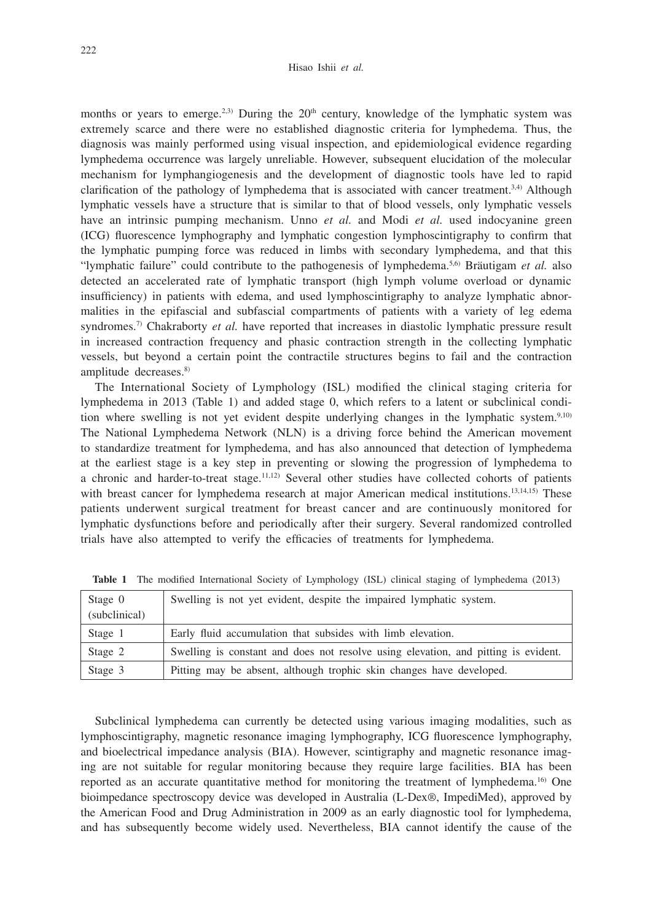months or years to emerge.<sup>2,3)</sup> During the  $20<sup>th</sup>$  century, knowledge of the lymphatic system was extremely scarce and there were no established diagnostic criteria for lymphedema. Thus, the diagnosis was mainly performed using visual inspection, and epidemiological evidence regarding lymphedema occurrence was largely unreliable. However, subsequent elucidation of the molecular mechanism for lymphangiogenesis and the development of diagnostic tools have led to rapid clarification of the pathology of lymphedema that is associated with cancer treatment.<sup>3,4)</sup> Although lymphatic vessels have a structure that is similar to that of blood vessels, only lymphatic vessels have an intrinsic pumping mechanism. Unno *et al.* and Modi *et al.* used indocyanine green (ICG) fluorescence lymphography and lymphatic congestion lymphoscintigraphy to confirm that the lymphatic pumping force was reduced in limbs with secondary lymphedema, and that this "lymphatic failure" could contribute to the pathogenesis of lymphedema.5,6) Bräutigam *et al.* also detected an accelerated rate of lymphatic transport (high lymph volume overload or dynamic insufficiency) in patients with edema, and used lymphoscintigraphy to analyze lymphatic abnormalities in the epifascial and subfascial compartments of patients with a variety of leg edema syndromes.<sup>7)</sup> Chakraborty *et al.* have reported that increases in diastolic lymphatic pressure result in increased contraction frequency and phasic contraction strength in the collecting lymphatic vessels, but beyond a certain point the contractile structures begins to fail and the contraction amplitude decreases.<sup>8)</sup>

The International Society of Lymphology (ISL) modified the clinical staging criteria for lymphedema in 2013 (Table 1) and added stage 0, which refers to a latent or subclinical condition where swelling is not yet evident despite underlying changes in the lymphatic system.<sup>9,10)</sup> The National Lymphedema Network (NLN) is a driving force behind the American movement to standardize treatment for lymphedema, and has also announced that detection of lymphedema at the earliest stage is a key step in preventing or slowing the progression of lymphedema to a chronic and harder-to-treat stage.11,12) Several other studies have collected cohorts of patients with breast cancer for lymphedema research at major American medical institutions.<sup>13,14,15)</sup> These patients underwent surgical treatment for breast cancer and are continuously monitored for lymphatic dysfunctions before and periodically after their surgery. Several randomized controlled trials have also attempted to verify the efficacies of treatments for lymphedema.

| Stage 0<br>(subclinical) | Swelling is not yet evident, despite the impaired lymphatic system.                |
|--------------------------|------------------------------------------------------------------------------------|
| Stage 1                  | Early fluid accumulation that subsides with limb elevation.                        |
| Stage 2                  | Swelling is constant and does not resolve using elevation, and pitting is evident. |
| Stage 3                  | Pitting may be absent, although trophic skin changes have developed.               |

**Table 1** The modified International Society of Lymphology (ISL) clinical staging of lymphedema (2013)

Subclinical lymphedema can currently be detected using various imaging modalities, such as lymphoscintigraphy, magnetic resonance imaging lymphography, ICG fluorescence lymphography, and bioelectrical impedance analysis (BIA). However, scintigraphy and magnetic resonance imaging are not suitable for regular monitoring because they require large facilities. BIA has been reported as an accurate quantitative method for monitoring the treatment of lymphedema.16) One bioimpedance spectroscopy device was developed in Australia (L-Dex®, ImpediMed), approved by the American Food and Drug Administration in 2009 as an early diagnostic tool for lymphedema, and has subsequently become widely used. Nevertheless, BIA cannot identify the cause of the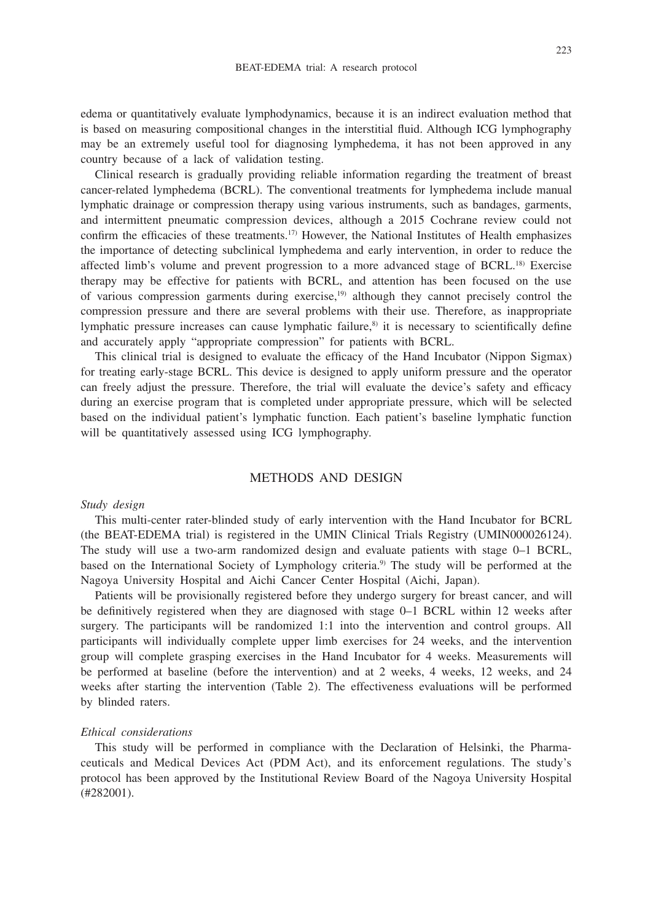edema or quantitatively evaluate lymphodynamics, because it is an indirect evaluation method that is based on measuring compositional changes in the interstitial fluid. Although ICG lymphography may be an extremely useful tool for diagnosing lymphedema, it has not been approved in any country because of a lack of validation testing.

Clinical research is gradually providing reliable information regarding the treatment of breast cancer-related lymphedema (BCRL). The conventional treatments for lymphedema include manual lymphatic drainage or compression therapy using various instruments, such as bandages, garments, and intermittent pneumatic compression devices, although a 2015 Cochrane review could not confirm the efficacies of these treatments.17) However, the National Institutes of Health emphasizes the importance of detecting subclinical lymphedema and early intervention, in order to reduce the affected limb's volume and prevent progression to a more advanced stage of BCRL.18) Exercise therapy may be effective for patients with BCRL, and attention has been focused on the use of various compression garments during exercise,19) although they cannot precisely control the compression pressure and there are several problems with their use. Therefore, as inappropriate lymphatic pressure increases can cause lymphatic failure, $s$  it is necessary to scientifically define and accurately apply "appropriate compression" for patients with BCRL.

This clinical trial is designed to evaluate the efficacy of the Hand Incubator (Nippon Sigmax) for treating early-stage BCRL. This device is designed to apply uniform pressure and the operator can freely adjust the pressure. Therefore, the trial will evaluate the device's safety and efficacy during an exercise program that is completed under appropriate pressure, which will be selected based on the individual patient's lymphatic function. Each patient's baseline lymphatic function will be quantitatively assessed using ICG lymphography.

# METHODS AND DESIGN

#### *Study design*

This multi-center rater-blinded study of early intervention with the Hand Incubator for BCRL (the BEAT-EDEMA trial) is registered in the UMIN Clinical Trials Registry (UMIN000026124). The study will use a two-arm randomized design and evaluate patients with stage 0–1 BCRL, based on the International Society of Lymphology criteria.<sup>9)</sup> The study will be performed at the Nagoya University Hospital and Aichi Cancer Center Hospital (Aichi, Japan).

Patients will be provisionally registered before they undergo surgery for breast cancer, and will be definitively registered when they are diagnosed with stage 0–1 BCRL within 12 weeks after surgery. The participants will be randomized 1:1 into the intervention and control groups. All participants will individually complete upper limb exercises for 24 weeks, and the intervention group will complete grasping exercises in the Hand Incubator for 4 weeks. Measurements will be performed at baseline (before the intervention) and at 2 weeks, 4 weeks, 12 weeks, and 24 weeks after starting the intervention (Table 2). The effectiveness evaluations will be performed by blinded raters.

#### *Ethical considerations*

This study will be performed in compliance with the Declaration of Helsinki, the Pharmaceuticals and Medical Devices Act (PDM Act), and its enforcement regulations. The study's protocol has been approved by the Institutional Review Board of the Nagoya University Hospital (#282001).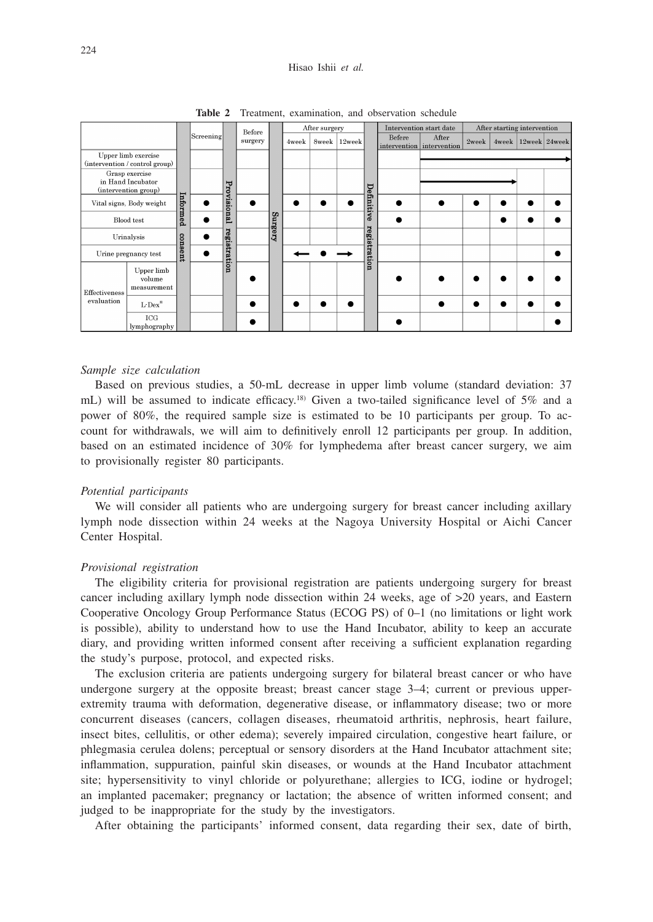#### Hisao Ishii *et al.*

|                                                             |                                     |          |              |             | Before<br>surgery |                | After surgery |        |  |              | Intervention start date            |       | After starting intervention |                         |  |  |
|-------------------------------------------------------------|-------------------------------------|----------|--------------|-------------|-------------------|----------------|---------------|--------|--|--------------|------------------------------------|-------|-----------------------------|-------------------------|--|--|
|                                                             |                                     |          | Screening    |             |                   | 4week          | 8week         | 12week |  | Befere       | After<br>intervention intervention | 2week |                             | 4week   12week   24week |  |  |
| Upper limb exercise<br>(intervention / control group)       |                                     |          |              |             |                   |                |               |        |  |              |                                    |       |                             |                         |  |  |
| Grasp exercise<br>in Hand Incubator<br>(intervention group) |                                     |          |              |             |                   |                |               |        |  | Definitive   |                                    |       |                             |                         |  |  |
| Vital signs, Body weight                                    |                                     | Informed |              | Provisional |                   |                |               |        |  |              |                                    |       |                             |                         |  |  |
| Blood test                                                  |                                     |          |              |             |                   | <b>Surgery</b> |               |        |  |              |                                    |       |                             |                         |  |  |
| Urinalysis                                                  |                                     |          |              |             |                   |                |               |        |  | registration |                                    |       |                             |                         |  |  |
| Urine pregnancy test                                        |                                     | consent  | registration |             |                   |                |               |        |  |              |                                    |       |                             |                         |  |  |
| Effectiveness                                               | Upper limb<br>volume<br>measurement |          |              |             |                   |                |               |        |  |              |                                    |       |                             |                         |  |  |
| evaluation                                                  | $L$ -Dex $^*$                       |          |              |             |                   |                |               |        |  |              |                                    |       |                             |                         |  |  |
|                                                             | $_{\rm ICG}$<br>lymphography        |          |              |             |                   |                |               |        |  |              |                                    |       |                             |                         |  |  |

**Table 2** Treatment, examination, and observation schedule

#### *Sample size calculation*

Based on previous studies, a 50-mL decrease in upper limb volume (standard deviation: 37 mL) will be assumed to indicate efficacy.<sup>18)</sup> Given a two-tailed significance level of 5% and a power of 80%, the required sample size is estimated to be 10 participants per group. To account for withdrawals, we will aim to definitively enroll 12 participants per group. In addition, based on an estimated incidence of 30% for lymphedema after breast cancer surgery, we aim to provisionally register 80 participants.

### *Potential participants*

We will consider all patients who are undergoing surgery for breast cancer including axillary lymph node dissection within 24 weeks at the Nagoya University Hospital or Aichi Cancer Center Hospital.

#### *Provisional registration*

The eligibility criteria for provisional registration are patients undergoing surgery for breast cancer including axillary lymph node dissection within 24 weeks, age of >20 years, and Eastern Cooperative Oncology Group Performance Status (ECOG PS) of 0–1 (no limitations or light work is possible), ability to understand how to use the Hand Incubator, ability to keep an accurate diary, and providing written informed consent after receiving a sufficient explanation regarding the study's purpose, protocol, and expected risks.

The exclusion criteria are patients undergoing surgery for bilateral breast cancer or who have undergone surgery at the opposite breast; breast cancer stage 3–4; current or previous upperextremity trauma with deformation, degenerative disease, or inflammatory disease; two or more concurrent diseases (cancers, collagen diseases, rheumatoid arthritis, nephrosis, heart failure, insect bites, cellulitis, or other edema); severely impaired circulation, congestive heart failure, or phlegmasia cerulea dolens; perceptual or sensory disorders at the Hand Incubator attachment site; inflammation, suppuration, painful skin diseases, or wounds at the Hand Incubator attachment site; hypersensitivity to vinyl chloride or polyurethane; allergies to ICG, iodine or hydrogel; an implanted pacemaker; pregnancy or lactation; the absence of written informed consent; and judged to be inappropriate for the study by the investigators.

After obtaining the participants' informed consent, data regarding their sex, date of birth,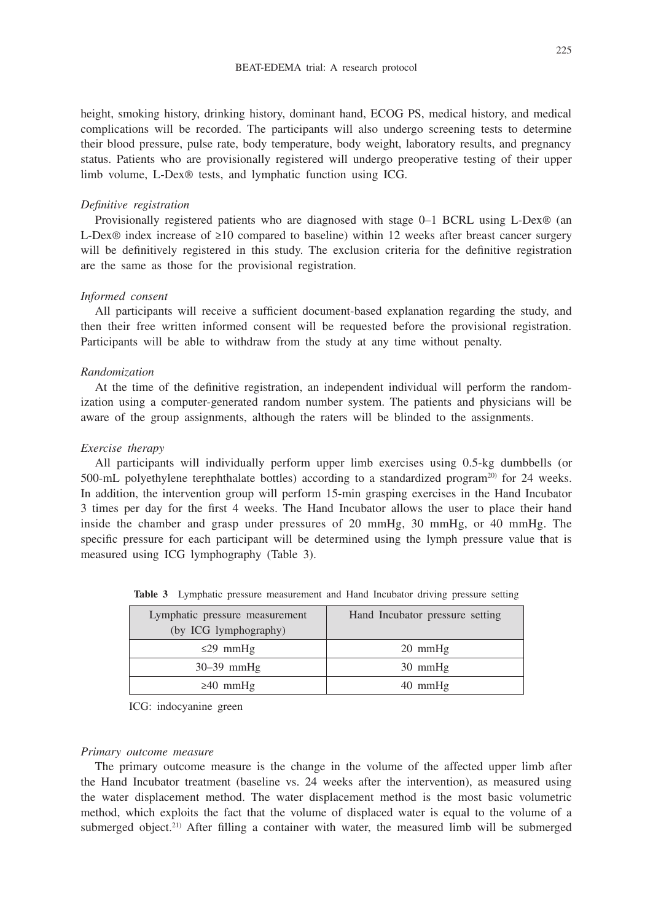height, smoking history, drinking history, dominant hand, ECOG PS, medical history, and medical complications will be recorded. The participants will also undergo screening tests to determine their blood pressure, pulse rate, body temperature, body weight, laboratory results, and pregnancy status. Patients who are provisionally registered will undergo preoperative testing of their upper limb volume, L-Dex® tests, and lymphatic function using ICG.

#### *Definitive registration*

Provisionally registered patients who are diagnosed with stage 0–1 BCRL using L-Dex® (an L-Dex® index increase of ≥10 compared to baseline) within 12 weeks after breast cancer surgery will be definitively registered in this study. The exclusion criteria for the definitive registration are the same as those for the provisional registration.

# *Informed consent*

All participants will receive a sufficient document-based explanation regarding the study, and then their free written informed consent will be requested before the provisional registration. Participants will be able to withdraw from the study at any time without penalty.

#### *Randomization*

At the time of the definitive registration, an independent individual will perform the randomization using a computer-generated random number system. The patients and physicians will be aware of the group assignments, although the raters will be blinded to the assignments.

#### *Exercise therapy*

All participants will individually perform upper limb exercises using 0.5-kg dumbbells (or 500-mL polyethylene terephthalate bottles) according to a standardized program<sup>20</sup> for 24 weeks. In addition, the intervention group will perform 15-min grasping exercises in the Hand Incubator 3 times per day for the first 4 weeks. The Hand Incubator allows the user to place their hand inside the chamber and grasp under pressures of 20 mmHg, 30 mmHg, or 40 mmHg. The specific pressure for each participant will be determined using the lymph pressure value that is measured using ICG lymphography (Table 3).

| Lymphatic pressure measurement<br>(by ICG lymphography) | Hand Incubator pressure setting |
|---------------------------------------------------------|---------------------------------|
| $\leq$ 29 mmHg                                          | $20 \text{ mmHg}$               |
| $30-39$ mmHg                                            | $30 \text{ mmHg}$               |
| $\geq 40$ mmHg                                          | $40 \text{ mmHg}$               |

**Table 3** Lymphatic pressure measurement and Hand Incubator driving pressure setting

ICG: indocyanine green

## *Primary outcome measure*

The primary outcome measure is the change in the volume of the affected upper limb after the Hand Incubator treatment (baseline vs. 24 weeks after the intervention), as measured using the water displacement method. The water displacement method is the most basic volumetric method, which exploits the fact that the volume of displaced water is equal to the volume of a submerged object.<sup>21)</sup> After filling a container with water, the measured limb will be submerged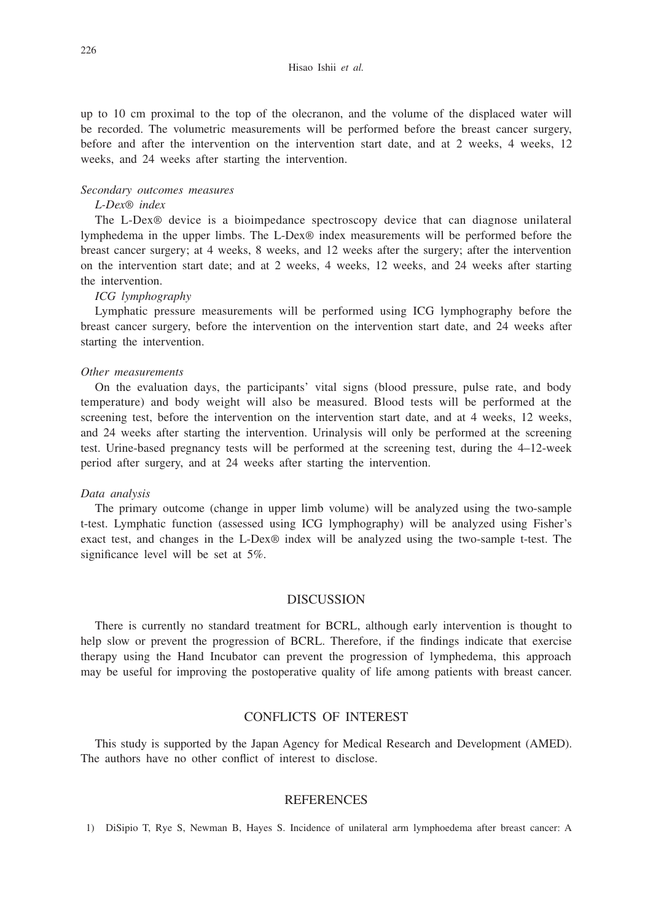up to 10 cm proximal to the top of the olecranon, and the volume of the displaced water will be recorded. The volumetric measurements will be performed before the breast cancer surgery, before and after the intervention on the intervention start date, and at 2 weeks, 4 weeks, 12 weeks, and 24 weeks after starting the intervention.

### *Secondary outcomes measures*

#### *L-Dex*® *index*

The L-Dex® device is a bioimpedance spectroscopy device that can diagnose unilateral lymphedema in the upper limbs. The L-Dex® index measurements will be performed before the breast cancer surgery; at 4 weeks, 8 weeks, and 12 weeks after the surgery; after the intervention on the intervention start date; and at 2 weeks, 4 weeks, 12 weeks, and 24 weeks after starting the intervention.

# *ICG lymphography*

Lymphatic pressure measurements will be performed using ICG lymphography before the breast cancer surgery, before the intervention on the intervention start date, and 24 weeks after starting the intervention.

#### *Other measurements*

On the evaluation days, the participants' vital signs (blood pressure, pulse rate, and body temperature) and body weight will also be measured. Blood tests will be performed at the screening test, before the intervention on the intervention start date, and at 4 weeks, 12 weeks, and 24 weeks after starting the intervention. Urinalysis will only be performed at the screening test. Urine-based pregnancy tests will be performed at the screening test, during the 4–12-week period after surgery, and at 24 weeks after starting the intervention.

#### *Data analysis*

The primary outcome (change in upper limb volume) will be analyzed using the two-sample t-test. Lymphatic function (assessed using ICG lymphography) will be analyzed using Fisher's exact test, and changes in the L-Dex® index will be analyzed using the two-sample t-test. The significance level will be set at 5%.

# DISCUSSION

There is currently no standard treatment for BCRL, although early intervention is thought to help slow or prevent the progression of BCRL. Therefore, if the findings indicate that exercise therapy using the Hand Incubator can prevent the progression of lymphedema, this approach may be useful for improving the postoperative quality of life among patients with breast cancer.

## CONFLICTS OF INTEREST

This study is supported by the Japan Agency for Medical Research and Development (AMED). The authors have no other conflict of interest to disclose.

#### REFERENCES

1) DiSipio T, Rye S, Newman B, Hayes S. Incidence of unilateral arm lymphoedema after breast cancer: A